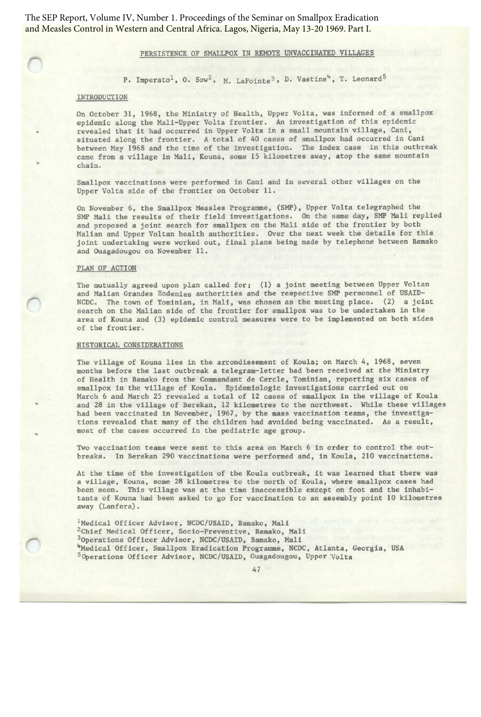The SEP Report, Volume IV, Number 1. Proceedings of the Seminar on Smallpox Eradication and Measles Control in Western and Central Africa. Lagos, Nigeria, May 13-20 1969. Part I.

# PERSISTENCE OF SMALLPOX IN REMOTE UNVACCINATED VILLAGES

P. Imperato<sup>1</sup>, O. Sow<sup>2</sup>, M. LaPointe<sup>3</sup>, D. Vastine<sup>4</sup>, T. Leonard<sup>5</sup>

# INTRODUCTION

On October 31, 1968, the Ministry of Health, Upper Volta, was informed of a smallpox epidemic along the Mali-Upper Volta frontier. An investigation of this epidemic revealed that it had occurred in Upper Volta in a small mountain village, Cani, situated along the frontier. A total of 40 cases of smallpox had occurred in Cani between May 1968 and the time of the investigation. The index case in this outbreak came from a village in Mali, Kouna, some 15 kilometres away, atop the same mountain chain.

Smallpox vaccinations were performed in Cani and in several other villages on the Upper Volta side of the frontier on October 11.

On November 6, the Smallpox Measles Programme, (SMP), Upper Volta telegraphed the SMP Mali the results of their field investigations. On the same day, SMP Mali replied and proposed a joint search for smallpox on the Mali side of the frontier by both Malian and Upper Voltan health authorities. Over the next week the details for this joint undertaking were worked out, final plans being made by telephone between Bamako and Ouagadougou on November 11.

## PLAN OF ACTION

The mutually agreed upon plan called for: (1) a joint meeting between Upper Voltan and Malian Grandes Endemies authorities and the respective SMP personnel of USAID-NCDC. The town of Tominian, in Mali, was chosen as the meeting place. (2) a joint search on the Malian side of the frontier for smallpox was to be undertaken in the area of Kouna and (3) epidemic control measures were to be implemented on both sides of the frontier.

### HISTORICAL CONSIDERATIONS

The village of Kouna lies in the arrondissement of Koula; on March 4, 1968, seven months before the last outbreak a telegram-letter had been received at the Ministry of Health in Bamako from the Commandant de Cercle, Tominian, reporting six cases of smallpox in the village of Koula. Epidemiologic investigations carried out on March 6 and March 25 revealed a total of 12 cases of smallpox in the village of Koula and 28 in the village of Berekan, 12 kilometres to the northwest. While these villages had been vaccinated in November, 1967, by the mass vaccination teams, the investigations revealed that many of the children had avoided being vaccinated. As a result, most of the cases occurred in the pediatric age group.

Two vaccination teams were sent to this area on March 6 in order to control the outbreaks . In Berekan 290 vaccinations were performed and, in Koula, 210 vaccinations.

At the time of the investigation of the Koula outbreak, it was learned that there was a village, Kouna, some 28 kilometres to the north of Koula, where smallpox cases had been seen. This village was at the time inaccessible except on foot and the inhabitants of Kouna had been asked to go for vaccination to an assembly point 10 kilometres away (Lanfera).

 Medical Officer Advisor, NCDC/USAID, Bamako, Mali Chief Medical Officer, Socio-Preventive, Bamako, Mali 0perations Officer Advisor, NCDC/USAID, Bamako, Mali 4Medical Officer, Smallpox Eradication Programme, NCDC, Atlanta, Georgia, USA 0perations Officer Advisor, NCDC/USAID, Ouagadougou, Upper Volta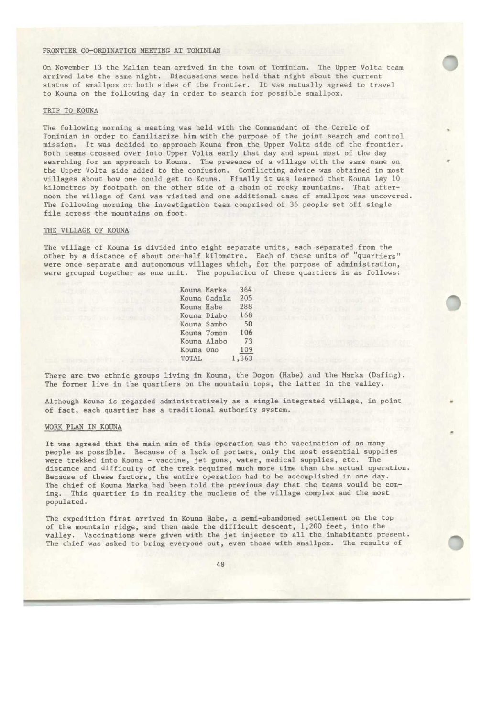#### FRONTIER CO-ORDINATION MEETING AT TOMINIAN

On November 13 the Malian team arrived in the town of Tominian. The Upper Volta team arrived late the same night . Discussions were held that night about the current status of smallpox on both sides of the frontier. It was mutually agreed to travel to Kouna on the following day in order to search for possible smallpox.

**0**

## TRIP TO KOUNA

The following morning a meeting was held with the Commandant of the Cercle of Tominian in order to familiarize him with the purpose of the joint search and control mission. It was decided to approach Kouna from the Upper Volta side of the frontier. Both teams crossed over into Upper Volta early that day and spent most of the day searching for an approach to Kouna. The presence of a village with the same name on the Upper Volta side added to the confusion. Conflicting advice was obtained in most villages about how one could get to Kouna. Finally it was learned that Kouna lay 10 kilometres by footpath on the other side of a chain of rocky mountains. That afternoon the village of Cani was visited and one additional case of smallpox was uncovered. The following morning the investigation team comprised of 36 people set off single file across the mountains on foot.

## THE VILLAGE OF KOUNA

The village of Kouna is divided into eight separate units, each separated from the other by a distance of about one-half kilometre. Each of these units of "quartiers" were once separate and autonomous villages which, for the purpose of administration, were grouped together as one unit. The population of these quartiers is as follows:

|             | Kouna Marka  | 364   |
|-------------|--------------|-------|
|             | Kouna Gadala | 205   |
|             | Kouna Habe   | 288   |
| Kouna Diabo |              | 168   |
| Kouna Sambo |              | 50    |
|             | Kouna Tomon  | 106   |
|             | Kouna Alabo  | 73    |
| Kouna Ono   |              | 109   |
| TOTAL       |              | 1,363 |

There are two ethnic groups living in Kouna, the Dogon (Habe) and the Marka (Dafing). The former live in the quartiers on the mountain tops, the latter in the valley.

Although Kouna is regarded administratively as a single integrated village, in point of fact, each quartier has a traditional authority system.

#### WORK PLAN IN KOUNA

It was agreed that the main aim of this operation was the vaccination of as many people as possible . Because of a lack of porters, only the most essential supplies were trekked into Kouna - vaccine, jet guns, water, medical supplies, etc. The distance and difficulty of the trek required much more time than the actual operation. Because of these factors, the entire operation had to be accomplished in one day. The chief of Kouna Marka had been told the previous day that the teams would be coming. This quartier is in reality the nucleus of the village complex and the most populated.

The expedition first arrived in Kouna Habe, a semi-abandoned settlement on the top of the mountain ridge, and then made the difficult descent, 1,200 feet, into the valley. Vaccinations were given with the jet injector to all the inhabitants present. The chief was asked to bring everyone out, even those with smallpox. The results of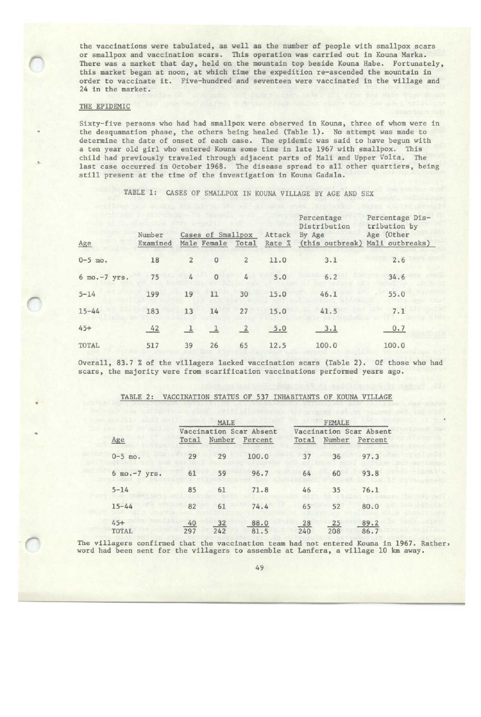the vaccinations were tabulated, as well as the number of people with smallpox scars or smallpox and vaccination scars . This operation was carried out in Kouna Marka. There was a market that day, held on the mountain top beside Kouna Habe. Fortunately, this market began at noon, at which time the expedition re-ascended the mountain in order to vaccinate it. Five-hundred and seventeen were vaccinated in the village and 24 in the market.

# THE EPIDEMIC

Sixty-five persons who had had smallpox were observed in Kouna, three of whom were in the desquamation phase, the others being healed (Table 1) . No attempt was made to determine the date of onset of each case. The epidemic was said to have begun with a ten year old girl who entered Kouna some time in late 1967 with smallpox. This child had previously traveled through adjacent parts of Mali and Upper Volta. The last case occurred in October 1968. The disease spread to all other quartiers, being still present at the time of the investigation in Kouna Gadala.

TABLE 1: CASES OF SMALLPOX IN KOUNA VILLAGE BY AGE AND SEX

|              | Cases of Smallpox<br>Number |                |                   |                | Attack | Percentage<br>Distribution<br>By Age | Percentage Dis-<br>tribution by<br>Age (Other |  |
|--------------|-----------------------------|----------------|-------------------|----------------|--------|--------------------------------------|-----------------------------------------------|--|
| Age          | Examined                    |                | Male Female Total |                | Rate % | (this outbreak)                      | Mali outbreaks)                               |  |
| $0 - 5$ mo.  | 18                          | $\overline{2}$ | $\circ$           | $\overline{2}$ | 11.0   | 3.1                                  | 2.6                                           |  |
| 6 mo.-7 yrs. | 75                          | 4              | $\Omega$          | 4              | 5.0    | 6.2                                  | 34.6                                          |  |
| $5 - 14$     | 199                         | 19             | 11                | 30             | 15.0   | 46.1                                 | 55.0                                          |  |
| $15 - 44$    | 183                         | 13             | 14                | 27             | 15.0   | 41.5                                 | 7.1                                           |  |
| $45+$        | 42                          |                | $\mathbf{1}$      | $\overline{2}$ | 5.0    | 3.1                                  | 0.7                                           |  |
| TOTAL        | 517                         | 39             | 26                | 65             | 12.5   | 100.0                                | 100.0                                         |  |

Overall, 83.7 % of the villagers lacked vaccination scars (Table 2). Of those who had scars, the majority were from scarification vaccinations performed years ago.

|                |           | MALE      |                                    | <b>FEMALE</b> |           |                                    |
|----------------|-----------|-----------|------------------------------------|---------------|-----------|------------------------------------|
| Age            | Total     | Number    | Vaccination Scar Absent<br>Percent | Total         | Number    | Vaccination Scar Absent<br>Percent |
| $0 - 5$ mo.    | 29        | 29        | 100.0                              | 37            | 36        | 97.3                               |
| 6 mo.-7 yrs.   | 61        | 59        | 96.7                               | 64            | 60        | 93.8                               |
| $5 - 14$       | 85        | 61        | 71.8                               | 46            | 35        | 76.1                               |
| $15 - 44$      | 82        | 61        | 74.4                               | 65            | 52        | 80.0                               |
| $45+$<br>TOTAL | 40<br>297 | 32<br>242 | 88.0<br>81.5                       | 28<br>240     | 25<br>208 | 89.2<br>86.7                       |

## TABLE 2: VACCINATION STATUS OF 537 INHABITANTS OF KOUNA VILLAGE

The villagers confirmed that the vaccination team had not entered Kouna in 1967. Rather, word had been sent for the villagers to assemble at Lanfera, a village 10 km away.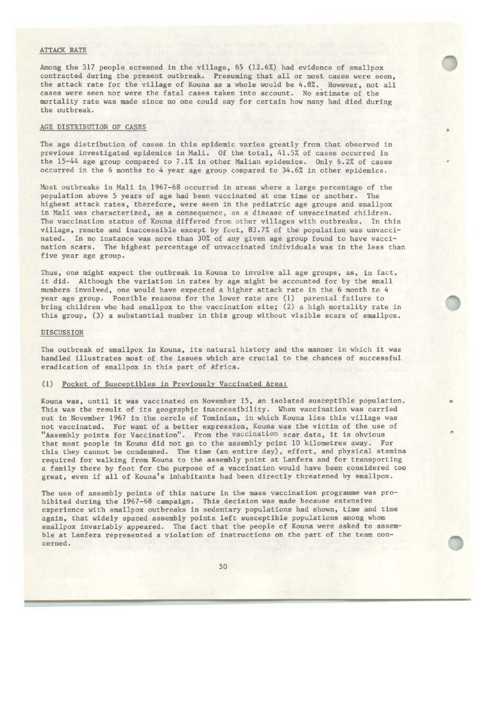# ATTACK RATE

Among the 517 people screened in the village, 65 (12 .6%) had evidence of smallpox contracted during the present outbreak. Presuming that all or most cases were seen, the attack rate for the village of Kouna as a whole would be 4.8%. However, not all cases were seen nor were the fatal cases taken into account. No estimate of the mortality rate was made since no one could say for certain how many had died during the outbreak.

# AGE DISTRIBUTION OF CASES

The age distribution of cases in this epidemic varies greatly from that observed in previous investigated epidemics in Mali . Of the total, 41 .5% of cases occurred in the 15-44 age group compared to 7.1% in other Malian epidemics. Only 6.2% of cases occurred in the 6 months to 4 year age group compared to 34 .6% in other epidemics.

Most outbreaks in Mali in 1967-68 occurred in areas where a large percentage of the population above 5 years of age had been vaccinated at one time or another. The highest attack rates, therefore, were seen in the pediatric age groups and smallpox in Mali was characterized, as a consequence, as a disease of unvaccinated children. The vaccination status of Kouna differed from other villages with outbreaks. In this village, remote and inaccessible except by foot, 83 .7% of the population was unvaccinated. In no instance was more than 30% of any given age group found to have vaccination scars. The highest percentage of unvaccinated individuals was in the less than five year age group.

Thus, one might expect the outbreak in Kouna to involve all age groups, as, in fact, it did. Although the variation in rates by age might be accounted for by the small numbers involved, one would have expected a higher attack rate in the 6 month to 4 year age group. Possible reasons for the lower rate are (1) parental failure to bring children who had smallpox to the vaccination site; (2) a high mortality rate in this group, (3) a substantial number in this group without visible scars of smallpox.

## DISCUSSION

The outbreak of smallpox in Kouna, its natural history and the manner in which it was handled illustrates most of the issues which are crucial to the chances of successful eradication of smallpox in this part of Africa.

## (1) Pocket of Susceptibles in Previously Vaccinated Area:

Kouna was, until it was vaccinated on November 15, an isolated susceptible population. This was the result of its geographic inaccessibility. When vaccination was carried out in November 1967 in the cercle of Tominian, in which Kouna lies this village was not vaccinated. For want of a better expression, Kouna was the victim of the use of "Assembly points for Vaccination". From the vaccination scar data, it is obvious that most people in Kouna did not go to the assembly point 10 kilometres away. For this they cannot be condemned. The time (an entire day), effort, and physical stamina required for walking from Kouna to the assembly point at Lanfera and for transporting a family there by foot for the purpose of a vaccination would have been considered too great, even if all of Kouna's inhabitants had been directly threatened by smallpox.

The use of assembly points of this nature in the mass vaccination programme was prohibited during the 1967-68 campaign. This decision was made because extensive experience with smallpox outbreaks in sedentary populations had shown, time and time again, that widely spaced assembly points left susceptible populations among whom smallpox invariably appeared. The fact that the people of Kouna were asked to assemble at Lanfera represented a violation of instructions on the part of the team concerned .